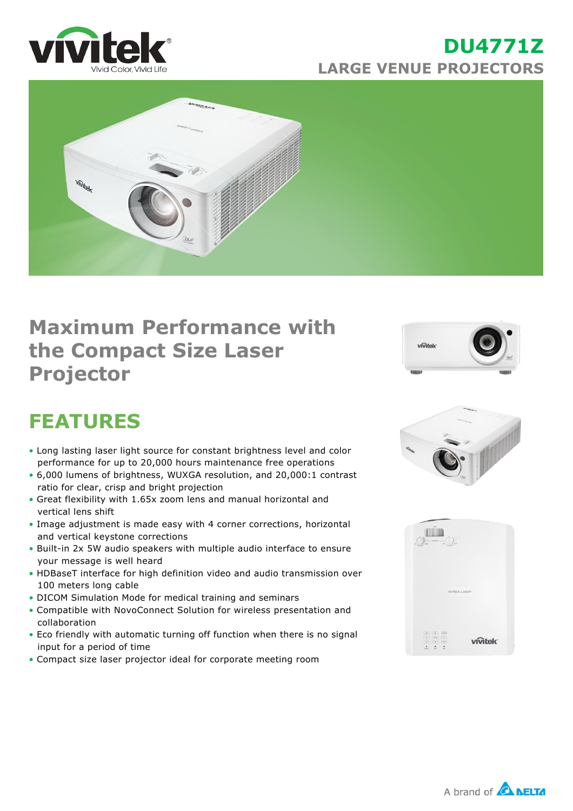

### **DU4771Z LARGE VENUE PROJECTORS**



## **Maximum Performance with the Compact Size Laser Projector**



# **FEATURES**

- Long lasting laser light source for constant brightness level and color performance for up to 20,000 hours maintenance free operations
- 6,000 lumens of brightness, WUXGA resolution, and 20,000:1 contrast ratio for clear, crisp and bright projection
- Great flexibility with 1.65x zoom lens and manual horizontal and vertical lens shift
- Image adjustment is made easy with 4 corner corrections, horizontal and vertical keystone corrections
- Built-in 2x 5W audio speakers with multiple audio interface to ensure your message is well heard
- HDBaseT interface for high definition video and audio transmission over 100 meters long cable
- DICOM Simulation Mode for medical training and seminars
- Compatible with NovoConnect Solution for wireless presentation and collaboration
- Eco friendly with automatic turning off function when there is no signal input for a period of time
- Compact size laser projector ideal for corporate meeting room